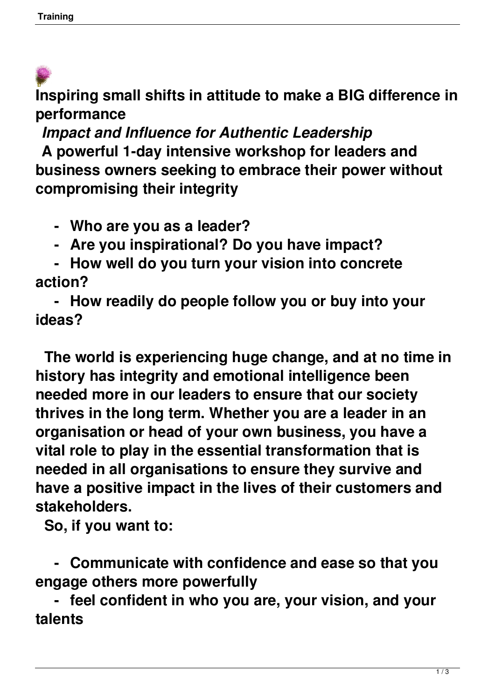**Inspiring small shifts in attitude to make a BIG difference in performance**

*Impact and Influence for Authentic Leadership* 

 **A powerful 1-day intensive workshop for leaders and business owners seeking to embrace their power without compromising their integrity**

 **- Who are you as a leader?** 

 **- Are you inspirational? Do you have impact?** 

 **- How well do you turn your vision into concrete action?** 

 **- How readily do people follow you or buy into your ideas?** 

 **The world is experiencing huge change, and at no time in history has integrity and emotional intelligence been needed more in our leaders to ensure that our society thrives in the long term. Whether you are a leader in an organisation or head of your own business, you have a vital role to play in the essential transformation that is needed in all organisations to ensure they survive and have a positive impact in the lives of their customers and stakeholders.** 

 **So, if you want to:** 

 **- Communicate with confidence and ease so that you engage others more powerfully** 

 **- feel confident in who you are, your vision, and your talents**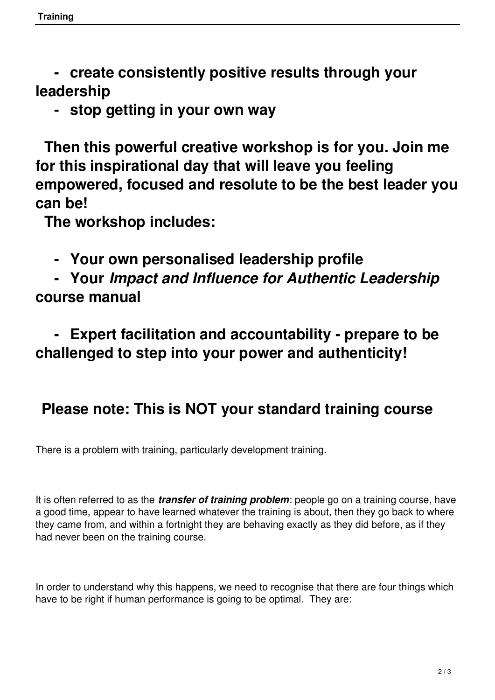**- create consistently positive results through your leadership** 

 **- stop getting in your own way** 

 **Then this powerful creative workshop is for you. Join me for this inspirational day that will leave you feeling empowered, focused and resolute to be the best leader you can be!** 

 **The workshop includes:** 

 **- Your own personalised leadership profile** 

 **- Your** *Impact and Influence for Authentic Leadership* **course manual**

 **- Expert facilitation and accountability - prepare to be challenged to step into your power and authenticity!** 

## **Please note: This is NOT your standard training course**

There is a problem with training, particularly development training.

It is often referred to as the *transfer of training problem*: people go on a training course, have a good time, appear to have learned whatever the training is about, then they go back to where they came from, and within a fortnight they are behaving exactly as they did before, as if they had never been on the training course.

In order to understand why this happens, we need to recognise that there are four things which have to be right if human performance is going to be optimal. They are: